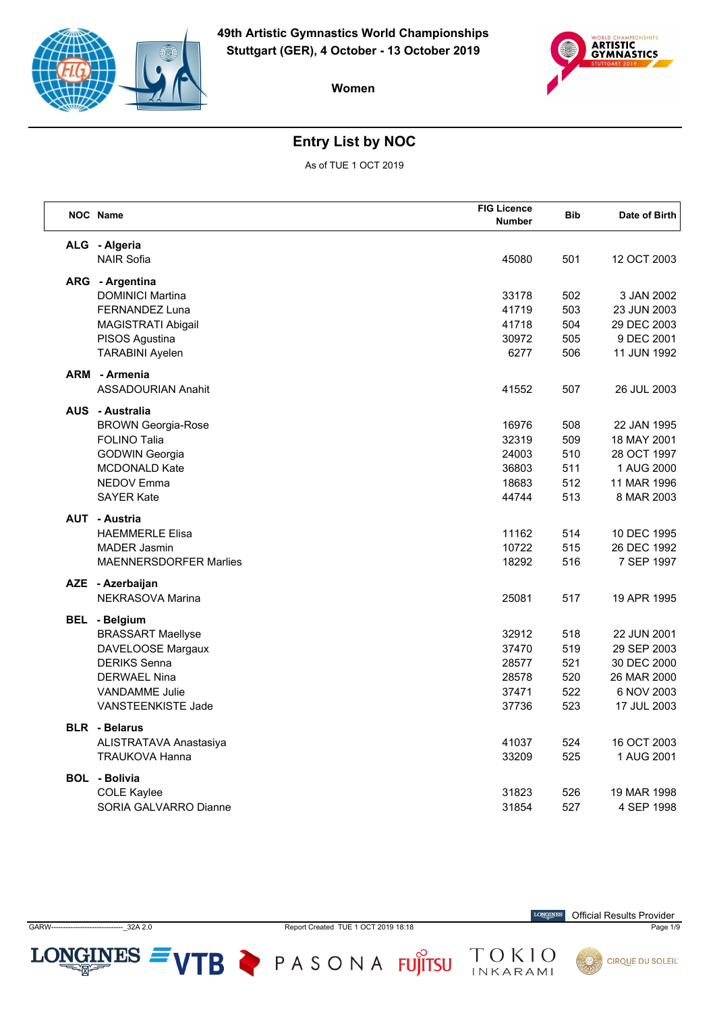



# **Entry List by NOC**

As of TUE 1 OCT 2019

| NOC Name                      | <b>FIG Licence</b><br><b>Number</b> | <b>Bib</b> | Date of Birth |
|-------------------------------|-------------------------------------|------------|---------------|
| ALG - Algeria                 |                                     |            |               |
| <b>NAIR Sofia</b>             | 45080                               | 501        | 12 OCT 2003   |
| ARG - Argentina               |                                     |            |               |
| <b>DOMINICI Martina</b>       | 33178                               | 502        | 3 JAN 2002    |
| FERNANDEZ Luna                | 41719                               | 503        | 23 JUN 2003   |
| <b>MAGISTRATI Abigail</b>     | 41718                               | 504        | 29 DEC 2003   |
| PISOS Agustina                | 30972                               | 505        | 9 DEC 2001    |
| <b>TARABINI Ayelen</b>        | 6277                                | 506        | 11 JUN 1992   |
| <b>ARM</b> - Armenia          |                                     |            |               |
| <b>ASSADOURIAN Anahit</b>     | 41552                               | 507        | 26 JUL 2003   |
| <b>AUS</b> - Australia        |                                     |            |               |
| <b>BROWN Georgia-Rose</b>     | 16976                               | 508        | 22 JAN 1995   |
| <b>FOLINO Talia</b>           | 32319                               | 509        | 18 MAY 2001   |
| <b>GODWIN Georgia</b>         | 24003                               | 510        | 28 OCT 1997   |
| <b>MCDONALD Kate</b>          | 36803                               | 511        | 1 AUG 2000    |
| <b>NEDOV Emma</b>             | 18683                               | 512        | 11 MAR 1996   |
| <b>SAYER Kate</b>             | 44744                               | 513        | 8 MAR 2003    |
| <b>AUT - Austria</b>          |                                     |            |               |
| <b>HAEMMERLE Elisa</b>        | 11162                               | 514        | 10 DEC 1995   |
| <b>MADER Jasmin</b>           | 10722                               | 515        | 26 DEC 1992   |
| <b>MAENNERSDORFER Marlies</b> | 18292                               | 516        | 7 SEP 1997    |
| AZE - Azerbaijan              |                                     |            |               |
| NEKRASOVA Marina              | 25081                               | 517        | 19 APR 1995   |
| <b>BEL</b> - Belgium          |                                     |            |               |
| <b>BRASSART Maellyse</b>      | 32912                               | 518        | 22 JUN 2001   |
| DAVELOOSE Margaux             | 37470                               | 519        | 29 SEP 2003   |
| <b>DERIKS Senna</b>           | 28577                               | 521        | 30 DEC 2000   |
| <b>DERWAEL Nina</b>           | 28578                               | 520        | 26 MAR 2000   |
| <b>VANDAMME Julie</b>         | 37471                               | 522        | 6 NOV 2003    |
| VANSTEENKISTE Jade            | 37736                               | 523        | 17 JUL 2003   |
| <b>BLR</b> - Belarus          |                                     |            |               |
| ALISTRATAVA Anastasiya        | 41037                               | 524        | 16 OCT 2003   |
| <b>TRAUKOVA Hanna</b>         | 33209                               | 525        | 1 AUG 2001    |
| <b>BOL</b> - Bolivia          |                                     |            |               |
| <b>COLE Kaylee</b>            | 31823                               | 526        | 19 MAR 1998   |
| SORIA GALVARRO Dianne         | 31854                               | 527        | 4 SEP 1998    |

GARW------------------------------\_32A 2.0 Report Created TUE 1 OCT 2019 18:18 Page 1/9

LONGINES  $=$  VTB  $\geq$  PASONA FUJITSU

 $\label{eq:conformal} \begin{minipage}{.4\linewidth} \textbf{LONGINES} \end{minipage}$ Official Results Provider

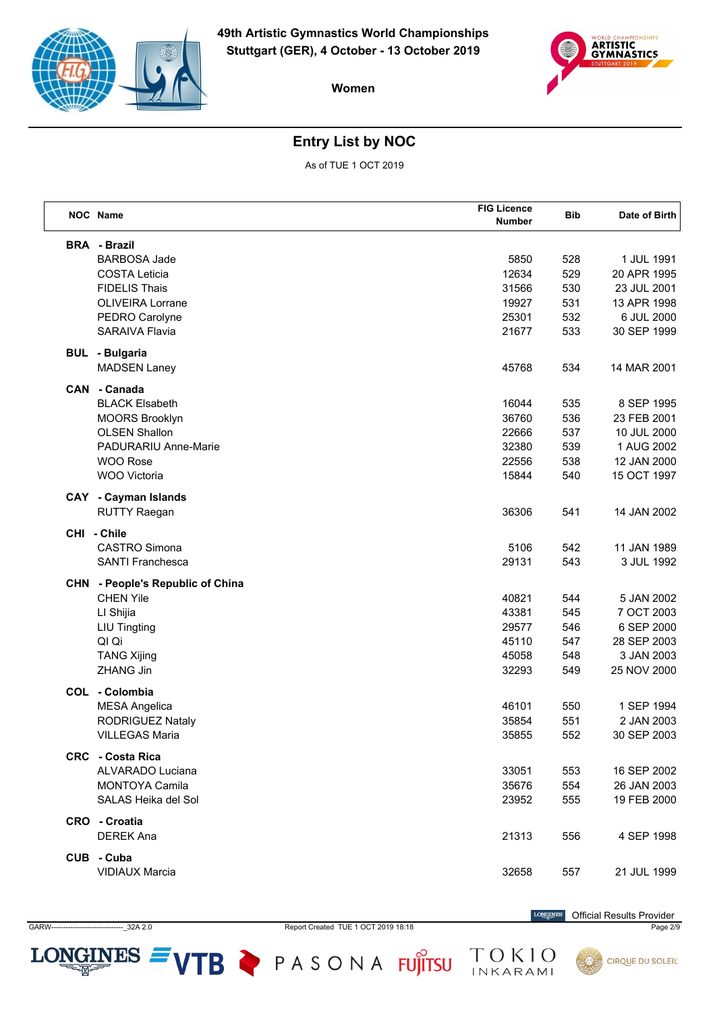



# **Entry List by NOC**

As of TUE 1 OCT 2019

|     | NOC Name                                   | <b>FIG Licence</b><br><b>Number</b> | <b>Bib</b> | Date of Birth |
|-----|--------------------------------------------|-------------------------------------|------------|---------------|
|     |                                            |                                     |            |               |
|     | <b>BRA - Brazil</b><br><b>BARBOSA Jade</b> | 5850                                | 528        | 1 JUL 1991    |
|     | <b>COSTA Leticia</b>                       | 12634                               | 529        | 20 APR 1995   |
|     | <b>FIDELIS Thais</b>                       | 31566                               | 530        | 23 JUL 2001   |
|     | <b>OLIVEIRA Lorrane</b>                    | 19927                               | 531        | 13 APR 1998   |
|     |                                            | 25301                               | 532        | 6 JUL 2000    |
|     | PEDRO Carolyne<br><b>SARAIVA Flavia</b>    |                                     | 533        |               |
|     |                                            | 21677                               |            | 30 SEP 1999   |
|     | <b>BUL</b> - Bulgaria                      |                                     |            |               |
|     | <b>MADSEN Laney</b>                        | 45768                               | 534        | 14 MAR 2001   |
|     | CAN - Canada                               |                                     |            |               |
|     | <b>BLACK Elsabeth</b>                      | 16044                               | 535        | 8 SEP 1995    |
|     | <b>MOORS Brooklyn</b>                      | 36760                               | 536        | 23 FEB 2001   |
|     | <b>OLSEN Shallon</b>                       | 22666                               | 537        | 10 JUL 2000   |
|     | <b>PADURARIU Anne-Marie</b>                | 32380                               | 539        | 1 AUG 2002    |
|     | <b>WOO Rose</b>                            | 22556                               | 538        | 12 JAN 2000   |
|     | WOO Victoria                               | 15844                               | 540        | 15 OCT 1997   |
|     | <b>CAY</b> - Cayman Islands                |                                     |            |               |
|     | <b>RUTTY Raegan</b>                        | 36306                               | 541        | 14 JAN 2002   |
|     | CHI - Chile                                |                                     |            |               |
|     | <b>CASTRO Simona</b>                       | 5106                                | 542        | 11 JAN 1989   |
|     | <b>SANTI Franchesca</b>                    | 29131                               | 543        | 3 JUL 1992    |
| CHN | - People's Republic of China               |                                     |            |               |
|     | <b>CHEN Yile</b>                           | 40821                               | 544        | 5 JAN 2002    |
|     | LI Shijia                                  | 43381                               | 545        | 7 OCT 2003    |
|     | <b>LIU Tingting</b>                        | 29577                               | 546        | 6 SEP 2000    |
|     | QI Qi                                      | 45110                               | 547        | 28 SEP 2003   |
|     | <b>TANG Xijing</b>                         | 45058                               | 548        | 3 JAN 2003    |
|     | <b>ZHANG Jin</b>                           | 32293                               | 549        | 25 NOV 2000   |
|     | COL - Colombia                             |                                     |            |               |
|     | <b>MESA Angelica</b>                       | 46101                               | 550        | 1 SEP 1994    |
|     | RODRIGUEZ Nataly                           | 35854                               | 551        | 2 JAN 2003    |
|     | <b>VILLEGAS Maria</b>                      | 35855                               | 552        | 30 SEP 2003   |
|     | <b>CRC</b> - Costa Rica                    |                                     |            |               |
|     | <b>ALVARADO Luciana</b>                    | 33051                               | 553        | 16 SEP 2002   |
|     | <b>MONTOYA Camila</b>                      | 35676                               | 554        | 26 JAN 2003   |
|     | SALAS Heika del Sol                        | 23952                               | 555        | 19 FEB 2000   |
|     | CRO - Croatia                              |                                     |            |               |
|     | <b>DEREK Ana</b>                           | 21313                               | 556        | 4 SEP 1998    |
|     | CUB - Cuba                                 |                                     |            |               |
|     | <b>VIDIAUX Marcia</b>                      | 32658                               | 557        | 21 JUL 1999   |
|     |                                            |                                     |            |               |

GARW------------------------------\_32A 2.0 Report Created TUE 1 OCT 2019 18:18 Page 2/9

LONGINES  $=$  VTB  $\geq$  PASONA FUJITSU

 $\label{eq:conformal} \begin{minipage}{.4\linewidth} \textbf{LONGINES} \end{minipage}$ Official Results Provider

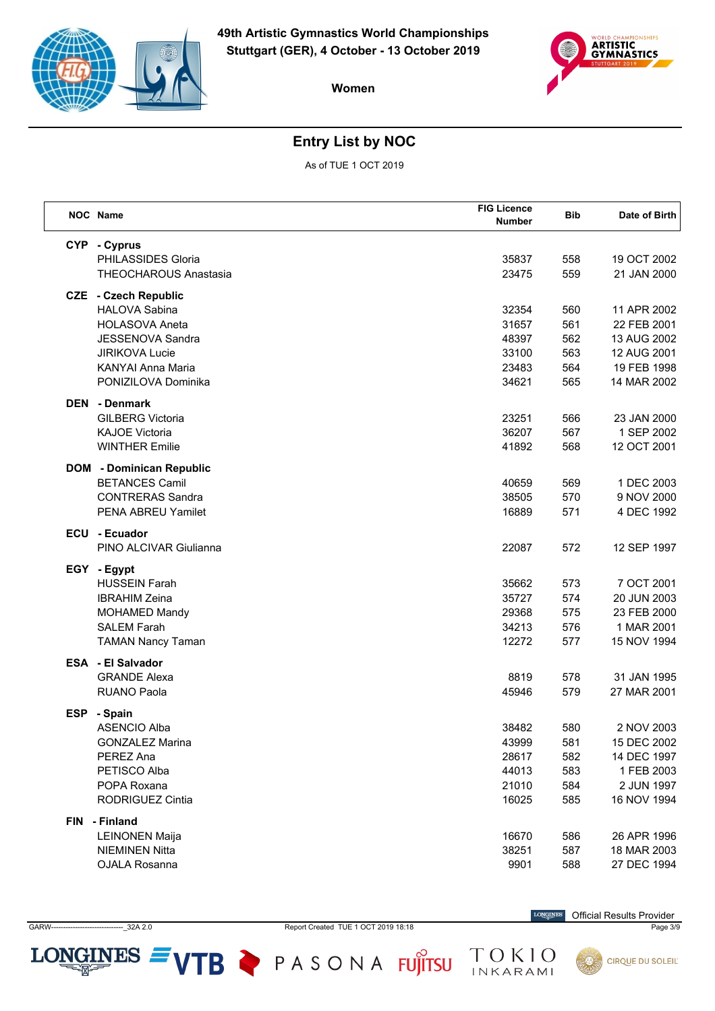



# **Entry List by NOC**

As of TUE 1 OCT 2019

|            | NOC Name                        | <b>FIG Licence</b><br><b>Number</b> | <b>Bib</b> | Date of Birth |
|------------|---------------------------------|-------------------------------------|------------|---------------|
|            | CYP - Cyprus                    |                                     |            |               |
|            | PHILASSIDES Gloria              | 35837                               | 558        | 19 OCT 2002   |
|            | <b>THEOCHAROUS Anastasia</b>    | 23475                               | 559        | 21 JAN 2000   |
|            | <b>CZE</b> - Czech Republic     |                                     |            |               |
|            | <b>HALOVA Sabina</b>            | 32354                               | 560        | 11 APR 2002   |
|            | <b>HOLASOVA Aneta</b>           | 31657                               | 561        | 22 FEB 2001   |
|            | JESSENOVA Sandra                | 48397                               | 562        | 13 AUG 2002   |
|            | <b>JIRIKOVA Lucie</b>           | 33100                               | 563        | 12 AUG 2001   |
|            | <b>KANYAI Anna Maria</b>        | 23483                               | 564        | 19 FEB 1998   |
|            | PONIZILOVA Dominika             | 34621                               | 565        | 14 MAR 2002   |
|            | <b>DEN</b> - Denmark            |                                     |            |               |
|            | <b>GILBERG Victoria</b>         | 23251                               | 566        | 23 JAN 2000   |
|            | <b>KAJOE Victoria</b>           | 36207                               | 567        | 1 SEP 2002    |
|            | <b>WINTHER Emilie</b>           | 41892                               | 568        | 12 OCT 2001   |
|            | <b>DOM</b> - Dominican Republic |                                     |            |               |
|            | <b>BETANCES Camil</b>           | 40659                               | 569        | 1 DEC 2003    |
|            | <b>CONTRERAS Sandra</b>         | 38505                               | 570        | 9 NOV 2000    |
|            | PENA ABREU Yamilet              | 16889                               | 571        | 4 DEC 1992    |
|            | ECU - Ecuador                   |                                     |            |               |
|            | PINO ALCIVAR Giulianna          | 22087                               | 572        | 12 SEP 1997   |
|            | EGY - Egypt                     |                                     |            |               |
|            | <b>HUSSEIN Farah</b>            | 35662                               | 573        | 7 OCT 2001    |
|            | <b>IBRAHIM Zeina</b>            | 35727                               | 574        | 20 JUN 2003   |
|            | <b>MOHAMED Mandy</b>            | 29368                               | 575        | 23 FEB 2000   |
|            | <b>SALEM Farah</b>              | 34213                               | 576        | 1 MAR 2001    |
|            | <b>TAMAN Nancy Taman</b>        | 12272                               | 577        | 15 NOV 1994   |
|            | <b>ESA - El Salvador</b>        |                                     |            |               |
|            | <b>GRANDE Alexa</b>             | 8819                                | 578        | 31 JAN 1995   |
|            | <b>RUANO Paola</b>              | 45946                               | 579        | 27 MAR 2001   |
| <b>ESP</b> | - Spain                         |                                     |            |               |
|            | <b>ASENCIO Alba</b>             | 38482                               | 580        | 2 NOV 2003    |
|            | <b>GONZALEZ Marina</b>          | 43999                               | 581        | 15 DEC 2002   |
|            | <b>PEREZ Ana</b>                | 28617                               | 582        | 14 DEC 1997   |
|            | PETISCO Alba                    | 44013                               | 583        | 1 FEB 2003    |
|            | POPA Roxana                     | 21010                               | 584        | 2 JUN 1997    |
|            | RODRIGUEZ Cintia                | 16025                               | 585        | 16 NOV 1994   |
| FIN        | - Finland                       |                                     |            |               |
|            | <b>LEINONEN Maija</b>           | 16670                               | 586        | 26 APR 1996   |
|            | <b>NIEMINEN Nitta</b>           | 38251                               | 587        | 18 MAR 2003   |
|            | OJALA Rosanna                   | 9901                                | 588        | 27 DEC 1994   |

GARW------------------------------\_32A 2.0 Report Created TUE 1 OCT 2019 18:18 Page 3/9

LONGINES  $=$  VTB  $\geq$  PASONA FUJITSU

 $\label{eq:conformal} \begin{minipage}{.4\linewidth} \textbf{LONGINES} \end{minipage}$ Official Results Provider

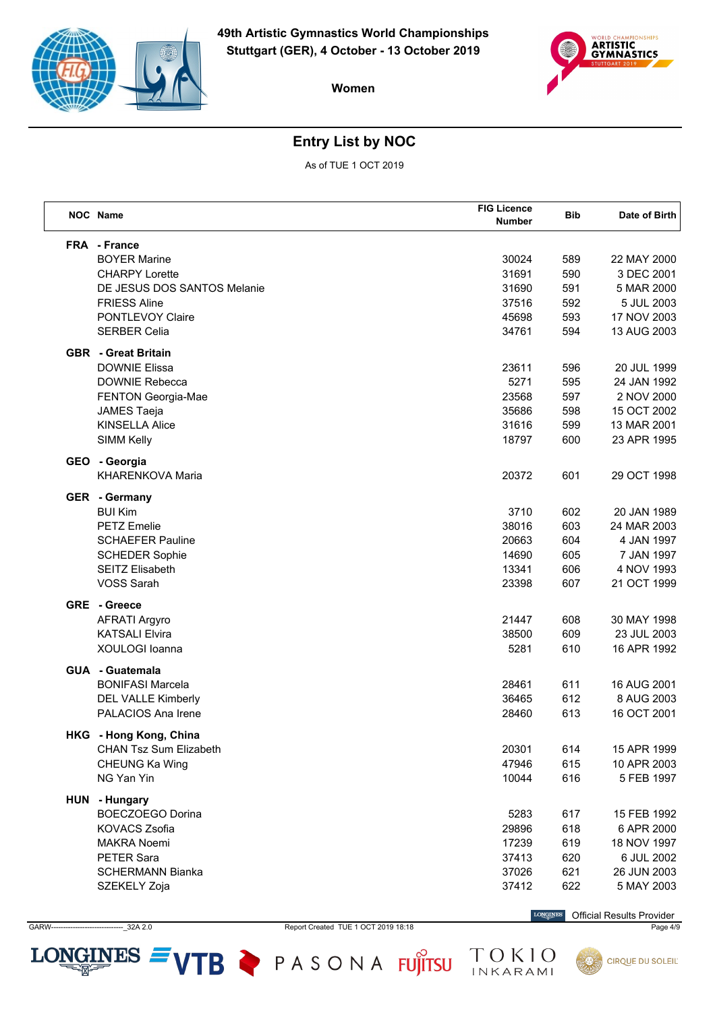



# **Entry List by NOC**

As of TUE 1 OCT 2019

| NOC Name                      | <b>FIG Licence</b><br>Number | <b>Bib</b> | Date of Birth |
|-------------------------------|------------------------------|------------|---------------|
| FRA - France                  |                              |            |               |
| <b>BOYER Marine</b>           | 30024                        | 589        | 22 MAY 2000   |
| <b>CHARPY Lorette</b>         | 31691                        | 590        | 3 DEC 2001    |
| DE JESUS DOS SANTOS Melanie   | 31690                        | 591        | 5 MAR 2000    |
| <b>FRIESS Aline</b>           | 37516                        | 592        | 5 JUL 2003    |
| PONTLEVOY Claire              | 45698                        | 593        | 17 NOV 2003   |
| <b>SERBER Celia</b>           | 34761                        | 594        | 13 AUG 2003   |
| <b>GBR</b> - Great Britain    |                              |            |               |
| <b>DOWNIE Elissa</b>          | 23611                        | 596        | 20 JUL 1999   |
| <b>DOWNIE Rebecca</b>         | 5271                         | 595        | 24 JAN 1992   |
| FENTON Georgia-Mae            | 23568                        | 597        | 2 NOV 2000    |
| <b>JAMES Taeja</b>            | 35686                        | 598        | 15 OCT 2002   |
| <b>KINSELLA Alice</b>         | 31616                        | 599        | 13 MAR 2001   |
| <b>SIMM Kelly</b>             | 18797                        | 600        | 23 APR 1995   |
| GEO - Georgia                 |                              |            |               |
| KHARENKOVA Maria              | 20372                        | 601        | 29 OCT 1998   |
| GER - Germany                 |                              |            |               |
| <b>BUI Kim</b>                | 3710                         | 602        | 20 JAN 1989   |
| <b>PETZ Emelie</b>            | 38016                        | 603        | 24 MAR 2003   |
| <b>SCHAEFER Pauline</b>       | 20663                        | 604        | 4 JAN 1997    |
| <b>SCHEDER Sophie</b>         | 14690                        | 605        | 7 JAN 1997    |
| <b>SEITZ Elisabeth</b>        | 13341                        | 606        | 4 NOV 1993    |
| <b>VOSS Sarah</b>             | 23398                        | 607        | 21 OCT 1999   |
| GRE - Greece                  |                              |            |               |
| <b>AFRATI Argyro</b>          | 21447                        | 608        | 30 MAY 1998   |
| <b>KATSALI Elvira</b>         | 38500                        | 609        | 23 JUL 2003   |
| XOULOGI Ioanna                | 5281                         | 610        | 16 APR 1992   |
| <b>GUA - Guatemala</b>        |                              |            |               |
| <b>BONIFASI Marcela</b>       | 28461                        | 611        | 16 AUG 2001   |
| <b>DEL VALLE Kimberly</b>     | 36465                        | 612        | 8 AUG 2003    |
| PALACIOS Ana Irene            | 28460                        | 613        | 16 OCT 2001   |
| HKG - Hong Kong, China        |                              |            |               |
| <b>CHAN Tsz Sum Elizabeth</b> | 20301                        | 614        | 15 APR 1999   |
| CHEUNG Ka Wing                | 47946                        | 615        | 10 APR 2003   |
| NG Yan Yin                    | 10044                        | 616        | 5 FEB 1997    |
| HUN - Hungary                 |                              |            |               |
| <b>BOECZOEGO Dorina</b>       | 5283                         | 617        | 15 FEB 1992   |
| <b>KOVACS Zsofia</b>          | 29896                        | 618        | 6 APR 2000    |
| <b>MAKRA Noemi</b>            | 17239                        | 619        | 18 NOV 1997   |
| <b>PETER Sara</b>             | 37413                        | 620        | 6 JUL 2002    |
| <b>SCHERMANN Bianka</b>       | 37026                        | 621        | 26 JUN 2003   |
| SZEKELY Zoja                  | 37412                        | 622        | 5 MAY 2003    |
|                               |                              |            |               |

GARW------------------------------\_32A 2.0 Report Created TUE 1 OCT 2019 18:18 Page 4/9

LONGINES  $=$  VTB  $\geq$  PASONA FUJITSU

**LONGINES** Official Results Provider

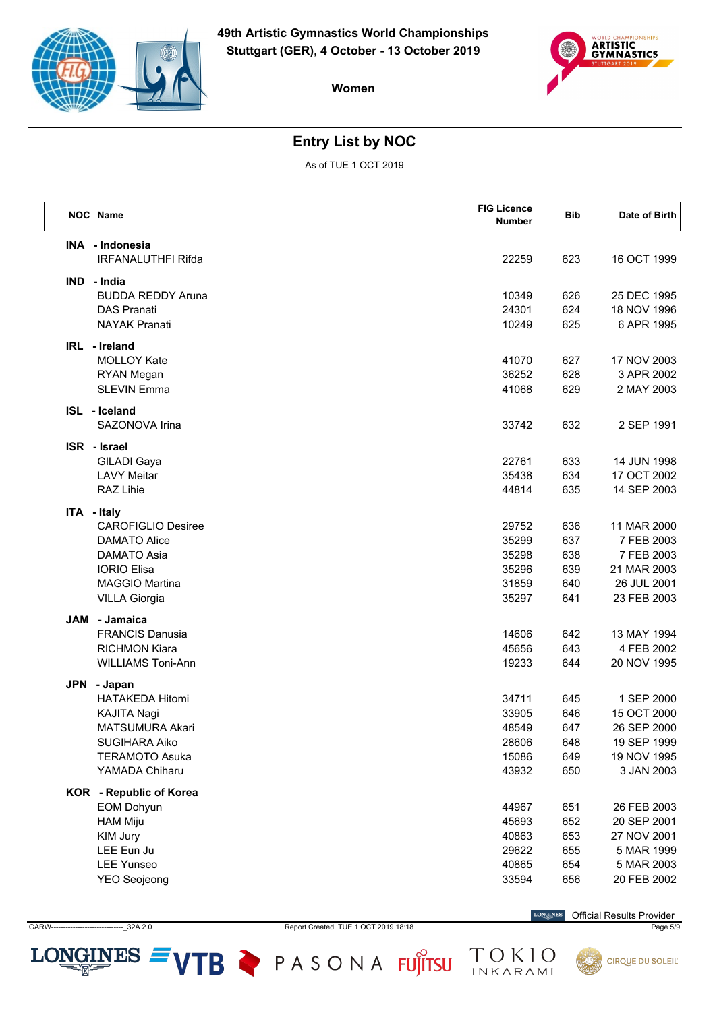



# **Entry List by NOC**

As of TUE 1 OCT 2019

| NOC Name      |                                                                                                                                               | <b>FIG Licence</b><br><b>Number</b>                | <b>Bib</b>                             | Date of Birth                                                                        |
|---------------|-----------------------------------------------------------------------------------------------------------------------------------------------|----------------------------------------------------|----------------------------------------|--------------------------------------------------------------------------------------|
|               | INA - Indonesia<br><b>IRFANALUTHFI Rifda</b>                                                                                                  | 22259                                              | 623                                    | 16 OCT 1999                                                                          |
| IND - India   | <b>BUDDA REDDY Aruna</b><br><b>DAS Pranati</b><br><b>NAYAK Pranati</b>                                                                        | 10349<br>24301<br>10249                            | 626<br>624<br>625                      | 25 DEC 1995<br>18 NOV 1996<br>6 APR 1995                                             |
| IRL - Ireland | <b>MOLLOY Kate</b><br>RYAN Megan<br><b>SLEVIN Emma</b>                                                                                        | 41070<br>36252<br>41068                            | 627<br>628<br>629                      | 17 NOV 2003<br>3 APR 2002<br>2 MAY 2003                                              |
| ISL - Iceland | SAZONOVA Irina                                                                                                                                | 33742                                              | 632                                    | 2 SEP 1991                                                                           |
| ISR - Israel  | GILADI Gaya<br><b>LAVY Meitar</b><br>RAZ Lihie                                                                                                | 22761<br>35438<br>44814                            | 633<br>634<br>635                      | 14 JUN 1998<br>17 OCT 2002<br>14 SEP 2003                                            |
| ITA - Italy   | <b>CAROFIGLIO Desiree</b><br><b>DAMATO Alice</b><br>DAMATO Asia<br><b>IORIO Elisa</b><br><b>MAGGIO Martina</b><br><b>VILLA Giorgia</b>        | 29752<br>35299<br>35298<br>35296<br>31859<br>35297 | 636<br>637<br>638<br>639<br>640<br>641 | 11 MAR 2000<br>7 FEB 2003<br>7 FEB 2003<br>21 MAR 2003<br>26 JUL 2001<br>23 FEB 2003 |
| JAM           | - Jamaica<br><b>FRANCIS Danusia</b><br><b>RICHMON Kiara</b><br><b>WILLIAMS Toni-Ann</b>                                                       | 14606<br>45656<br>19233                            | 642<br>643<br>644                      | 13 MAY 1994<br>4 FEB 2002<br>20 NOV 1995                                             |
| JPN           | - Japan<br><b>HATAKEDA Hitomi</b><br><b>KAJITA Nagi</b><br><b>MATSUMURA Akari</b><br>SUGIHARA Aiko<br><b>TERAMOTO Asuka</b><br>YAMADA Chiharu | 34711<br>33905<br>48549<br>28606<br>15086<br>43932 | 645<br>646<br>647<br>648<br>649<br>650 | 1 SEP 2000<br>15 OCT 2000<br>26 SEP 2000<br>19 SEP 1999<br>19 NOV 1995<br>3 JAN 2003 |
|               | KOR - Republic of Korea<br><b>EOM Dohyun</b><br><b>HAM Miju</b><br>KIM Jury<br>LEE Eun Ju<br><b>LEE Yunseo</b><br><b>YEO Seojeong</b>         | 44967<br>45693<br>40863<br>29622<br>40865<br>33594 | 651<br>652<br>653<br>655<br>654<br>656 | 26 FEB 2003<br>20 SEP 2001<br>27 NOV 2001<br>5 MAR 1999<br>5 MAR 2003<br>20 FEB 2002 |

**GARW**  $-22A2.0$  Report Created TUE 1 OCT 2019 18:18

LONGINES  $=$  VTB  $\geq$  PASONA FUJITSU

 $\label{eq:conformal} \begin{minipage}{.4\linewidth} \textbf{LONGINES} \end{minipage}$ **Official Results Provider** 

TOKIO<br>INKARAMI

Page 5/9

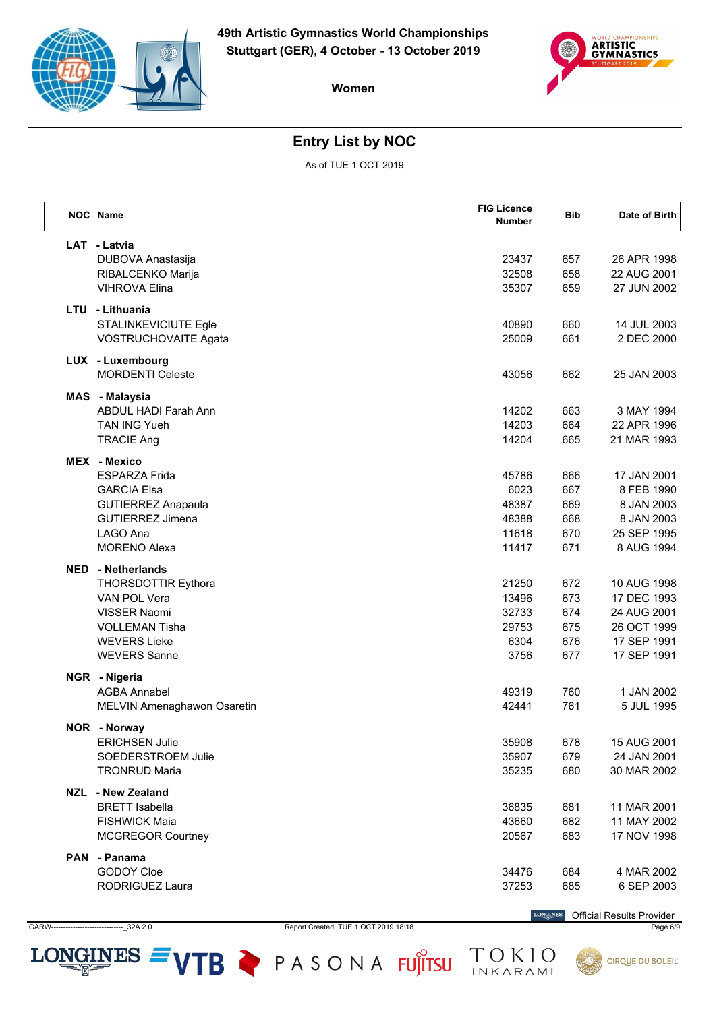



# **Entry List by NOC**

As of TUE 1 OCT 2019

|            | <b>NOC</b> Name             | <b>FIG Licence</b><br><b>Number</b> | Bib | Date of Birth |
|------------|-----------------------------|-------------------------------------|-----|---------------|
|            | LAT - Latvia                |                                     |     |               |
|            | DUBOVA Anastasija           | 23437                               | 657 | 26 APR 1998   |
|            | RIBALCENKO Marija           | 32508                               | 658 | 22 AUG 2001   |
|            | <b>VIHROVA Elina</b>        | 35307                               | 659 | 27 JUN 2002   |
|            | LTU - Lithuania             |                                     |     |               |
|            | STALINKEVICIUTE Egle        | 40890                               | 660 | 14 JUL 2003   |
|            | <b>VOSTRUCHOVAITE Agata</b> | 25009                               | 661 | 2 DEC 2000    |
|            | LUX - Luxembourg            |                                     |     |               |
|            | <b>MORDENTI Celeste</b>     | 43056                               | 662 | 25 JAN 2003   |
|            | MAS - Malaysia              |                                     |     |               |
|            | <b>ABDUL HADI Farah Ann</b> | 14202                               | 663 | 3 MAY 1994    |
|            | <b>TAN ING Yueh</b>         | 14203                               | 664 | 22 APR 1996   |
|            | <b>TRACIE Ang</b>           | 14204                               | 665 | 21 MAR 1993   |
|            | <b>MEX</b> - Mexico         |                                     |     |               |
|            | <b>ESPARZA Frida</b>        | 45786                               | 666 | 17 JAN 2001   |
|            | <b>GARCIA Elsa</b>          | 6023                                | 667 | 8 FEB 1990    |
|            | <b>GUTIERREZ Anapaula</b>   | 48387                               | 669 | 8 JAN 2003    |
|            | <b>GUTIERREZ Jimena</b>     | 48388                               | 668 | 8 JAN 2003    |
|            | LAGO Ana                    | 11618                               | 670 | 25 SEP 1995   |
|            | <b>MORENO Alexa</b>         | 11417                               | 671 | 8 AUG 1994    |
| <b>NED</b> | - Netherlands               |                                     |     |               |
|            | <b>THORSDOTTIR Eythora</b>  | 21250                               | 672 | 10 AUG 1998   |
|            | VAN POL Vera                | 13496                               | 673 | 17 DEC 1993   |
|            | <b>VISSER Naomi</b>         | 32733                               | 674 | 24 AUG 2001   |
|            | <b>VOLLEMAN Tisha</b>       | 29753                               | 675 | 26 OCT 1999   |
|            | <b>WEVERS Lieke</b>         | 6304                                | 676 | 17 SEP 1991   |
|            | <b>WEVERS Sanne</b>         | 3756                                | 677 | 17 SEP 1991   |
|            | NGR - Nigeria               |                                     |     |               |
|            | <b>AGBA Annabel</b>         | 49319                               | 760 | 1 JAN 2002    |
|            | MELVIN Amenaghawon Osaretin | 42441                               | 761 | 5 JUL 1995    |
|            | NOR - Norway                |                                     |     |               |
|            | <b>ERICHSEN Julie</b>       | 35908                               | 678 | 15 AUG 2001   |
|            | SOEDERSTROEM Julie          | 35907                               | 679 | 24 JAN 2001   |
|            | <b>TRONRUD Maria</b>        | 35235                               | 680 | 30 MAR 2002   |
|            | NZL - New Zealand           |                                     |     |               |
|            | <b>BRETT</b> Isabella       | 36835                               | 681 | 11 MAR 2001   |
|            | <b>FISHWICK Maia</b>        | 43660                               | 682 | 11 MAY 2002   |
|            | <b>MCGREGOR Courtney</b>    | 20567                               | 683 | 17 NOV 1998   |
|            | PAN - Panama                |                                     |     |               |
|            | GODOY Cloe                  | 34476                               | 684 | 4 MAR 2002    |
|            | RODRIGUEZ Laura             | 37253                               | 685 | 6 SEP 2003    |

**GARW**  $-22A2.0$  Report Created TUE 1 OCT 2019 18:18

LONGINES  $=$  VTB  $\geq$  PASONA FUJITSU

 $\label{eq:conformal} \begin{minipage}{.4\linewidth} \textbf{LONGINES} \end{minipage}$ **Official Results Provider** 

TOKIO<br>INKARAMI

Page 6/9

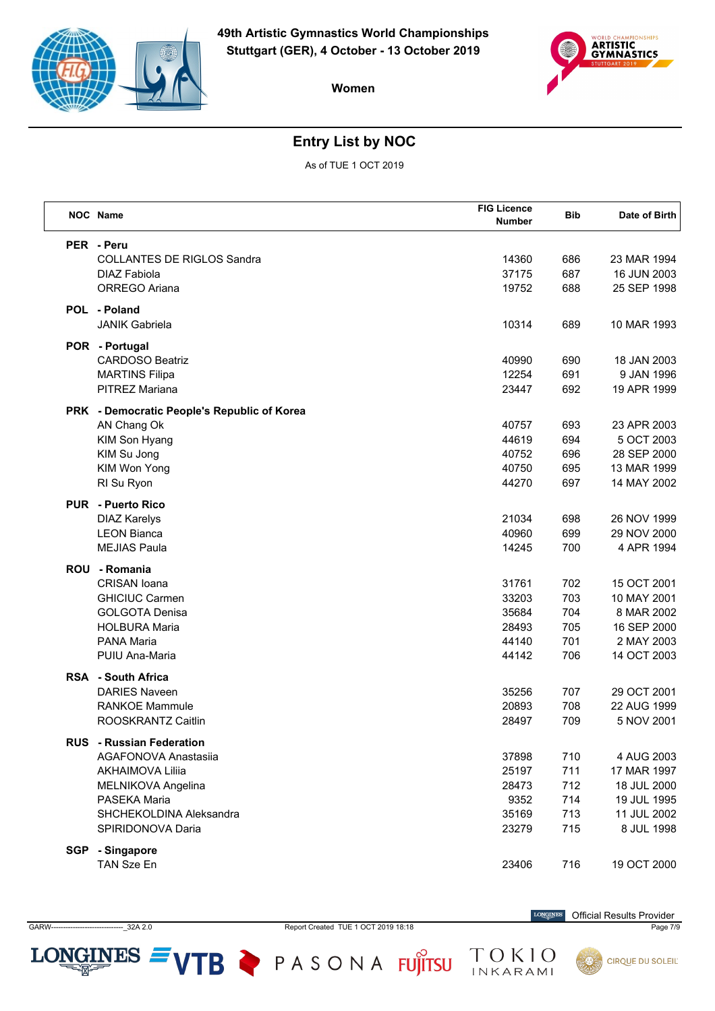



# **Entry List by NOC**

As of TUE 1 OCT 2019

|            | NOC Name                                     | <b>FIG Licence</b><br><b>Number</b> | <b>Bib</b> | Date of Birth              |
|------------|----------------------------------------------|-------------------------------------|------------|----------------------------|
|            | PER - Peru                                   |                                     |            |                            |
|            | <b>COLLANTES DE RIGLOS Sandra</b>            | 14360                               | 686        | 23 MAR 1994                |
|            | DIAZ Fabiola                                 | 37175                               | 687        | 16 JUN 2003                |
|            | ORREGO Ariana                                | 19752                               | 688        | 25 SEP 1998                |
|            | POL - Poland                                 |                                     |            |                            |
|            | <b>JANIK Gabriela</b>                        | 10314                               | 689        | 10 MAR 1993                |
|            | POR - Portugal                               |                                     |            |                            |
|            | <b>CARDOSO Beatriz</b>                       | 40990                               | 690        | 18 JAN 2003                |
|            | <b>MARTINS Filipa</b>                        | 12254                               | 691        | 9 JAN 1996                 |
|            | <b>PITREZ Mariana</b>                        | 23447                               | 692        | 19 APR 1999                |
|            | PRK - Democratic People's Republic of Korea  |                                     |            |                            |
|            | AN Chang Ok                                  | 40757                               | 693        | 23 APR 2003                |
|            | KIM Son Hyang                                | 44619                               | 694        | 5 OCT 2003                 |
|            | KIM Su Jong                                  | 40752                               | 696        | 28 SEP 2000                |
|            | KIM Won Yong                                 | 40750                               | 695        | 13 MAR 1999                |
|            | RI Su Ryon                                   | 44270                               | 697        | 14 MAY 2002                |
|            | <b>PUR</b> - Puerto Rico                     |                                     |            |                            |
|            | <b>DIAZ Karelys</b>                          | 21034                               | 698        | 26 NOV 1999                |
|            | <b>LEON Bianca</b>                           | 40960                               | 699        | 29 NOV 2000                |
|            | <b>MEJIAS Paula</b>                          | 14245                               | 700        | 4 APR 1994                 |
|            | ROU - Romania                                |                                     |            |                            |
|            | <b>CRISAN</b> Ioana                          | 31761                               | 702        | 15 OCT 2001                |
|            | <b>GHICIUC Carmen</b>                        | 33203                               | 703        | 10 MAY 2001                |
|            | <b>GOLGOTA Denisa</b>                        | 35684                               | 704        | 8 MAR 2002                 |
|            | <b>HOLBURA Maria</b>                         | 28493                               | 705        | 16 SEP 2000                |
|            | <b>PANA Maria</b>                            | 44140                               | 701        | 2 MAY 2003                 |
|            | PUIU Ana-Maria                               | 44142                               | 706        | 14 OCT 2003                |
|            | <b>RSA</b> - South Africa                    |                                     |            |                            |
|            | <b>DARIES Naveen</b>                         | 35256                               | 707        | 29 OCT 2001                |
|            | <b>RANKOE Mammule</b>                        | 20893                               | 708<br>709 | 22 AUG 1999<br>5 NOV 2001  |
|            | ROOSKRANTZ Caitlin                           | 28497                               |            |                            |
|            | <b>RUS</b> - Russian Federation              |                                     |            |                            |
|            | AGAFONOVA Anastasija                         | 37898                               | 710        | 4 AUG 2003                 |
|            | <b>AKHAIMOVA Liliia</b>                      | 25197                               | 711        | 17 MAR 1997                |
|            | MELNIKOVA Angelina<br>PASEKA Maria           | 28473<br>9352                       | 712<br>714 | 18 JUL 2000<br>19 JUL 1995 |
|            |                                              |                                     |            | 11 JUL 2002                |
|            | SHCHEKOLDINA Aleksandra<br>SPIRIDONOVA Daria | 35169<br>23279                      | 713<br>715 | 8 JUL 1998                 |
|            |                                              |                                     |            |                            |
| <b>SGP</b> | - Singapore                                  |                                     |            |                            |
|            | TAN Sze En                                   | 23406                               | 716        | 19 OCT 2000                |

GARW------------------------------\_32A 2.0 Report Created TUE 1 OCT 2019 18:18 Page 7/9

LONGINES  $=$  VTB  $\geq$  PASONA FUJITSU

 $\label{eq:conformal} \begin{minipage}{.4\linewidth} \textbf{LONGINES} \end{minipage}$ Official Results Provider

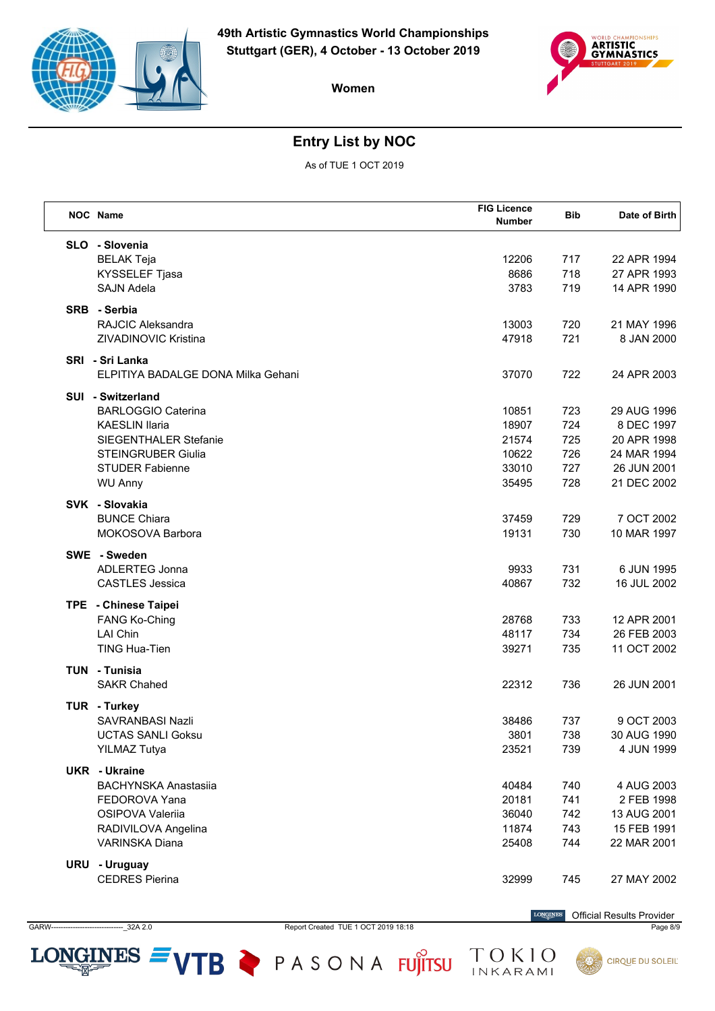



# **Entry List by NOC**

As of TUE 1 OCT 2019

| NOC Name                           | <b>FIG Licence</b><br><b>Number</b> | <b>Bib</b> | Date of Birth |
|------------------------------------|-------------------------------------|------------|---------------|
| SLO - Slovenia                     |                                     |            |               |
| <b>BELAK Teja</b>                  | 12206                               | 717        | 22 APR 1994   |
| KYSSELEF Tjasa                     | 8686                                | 718        | 27 APR 1993   |
| <b>SAJN Adela</b>                  | 3783                                | 719        | 14 APR 1990   |
| SRB - Serbia                       |                                     |            |               |
| <b>RAJCIC Aleksandra</b>           | 13003                               | 720        | 21 MAY 1996   |
| ZIVADINOVIC Kristina               | 47918                               | 721        | 8 JAN 2000    |
| SRI - Sri Lanka                    |                                     |            |               |
| ELPITIYA BADALGE DONA Milka Gehani | 37070                               | 722        | 24 APR 2003   |
| <b>SUI - Switzerland</b>           |                                     |            |               |
| <b>BARLOGGIO Caterina</b>          | 10851                               | 723        | 29 AUG 1996   |
| <b>KAESLIN Ilaria</b>              | 18907                               | 724        | 8 DEC 1997    |
| SIEGENTHALER Stefanie              | 21574                               | 725        | 20 APR 1998   |
| <b>STEINGRUBER Giulia</b>          | 10622                               | 726        | 24 MAR 1994   |
| <b>STUDER Fabienne</b>             | 33010                               | 727        | 26 JUN 2001   |
| <b>WU Anny</b>                     | 35495                               | 728        | 21 DEC 2002   |
| SVK - Slovakia                     |                                     |            |               |
| <b>BUNCE Chiara</b>                | 37459                               | 729        | 7 OCT 2002    |
| MOKOSOVA Barbora                   | 19131                               | 730        | 10 MAR 1997   |
| SWE - Sweden                       |                                     |            |               |
| <b>ADLERTEG Jonna</b>              | 9933                                | 731        | 6 JUN 1995    |
| <b>CASTLES Jessica</b>             | 40867                               | 732        | 16 JUL 2002   |
| TPE - Chinese Taipei               |                                     |            |               |
| <b>FANG Ko-Ching</b>               | 28768                               | 733        | 12 APR 2001   |
| <b>LAI Chin</b>                    | 48117                               | 734        | 26 FEB 2003   |
| TING Hua-Tien                      | 39271                               | 735        | 11 OCT 2002   |
| <b>TUN - Tunisia</b>               |                                     |            |               |
| <b>SAKR Chahed</b>                 | 22312                               | 736        | 26 JUN 2001   |
| TUR - Turkey                       |                                     |            |               |
| SAVRANBASI Nazli                   | 38486                               | 737        | 9 OCT 2003    |
| UCTAS SANLI Goksu                  | 3801                                | 738        | 30 AUG 1990   |
| <b>YILMAZ Tutya</b>                | 23521                               | 739        | 4 JUN 1999    |
| <b>UKR</b> - Ukraine               |                                     |            |               |
| <b>BACHYNSKA Anastasiia</b>        | 40484                               | 740        | 4 AUG 2003    |
| FEDOROVA Yana                      | 20181                               | 741        | 2 FEB 1998    |
| OSIPOVA Valeriia                   | 36040                               | 742        | 13 AUG 2001   |
| RADIVILOVA Angelina                | 11874                               | 743        | 15 FEB 1991   |
| VARINSKA Diana                     | 25408                               | 744        | 22 MAR 2001   |
| URU - Uruguay                      |                                     |            |               |
| <b>CEDRES Pierina</b>              | 32999                               | 745        | 27 MAY 2002   |
|                                    |                                     |            |               |

GARW------------------------------\_32A 2.0 Report Created TUE 1 OCT 2019 18:18 Page 8/9

LONGINES  $=$  VTB  $\geq$  PASONA FUJITSU

 $\label{eq:conformal} \begin{minipage}{.4\linewidth} \textbf{LONGINES} \end{minipage}$ Official Results Provider